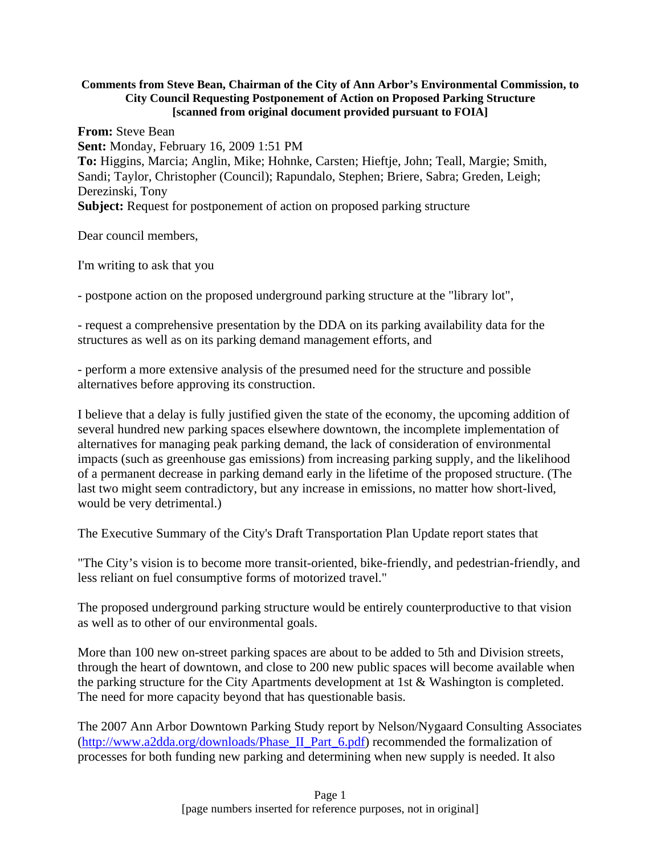#### **Comments from Steve Bean, Chairman of the City of Ann Arbor's Environmental Commission, to City Council Requesting Postponement of Action on Proposed Parking Structure [scanned from original document provided pursuant to FOIA]**

**From:** Steve Bean **Sent:** Monday, February 16, 2009 1:51 PM **To:** Higgins, Marcia; Anglin, Mike; Hohnke, Carsten; Hieftje, John; Teall, Margie; Smith, Sandi; Taylor, Christopher (Council); Rapundalo, Stephen; Briere, Sabra; Greden, Leigh; Derezinski, Tony **Subject:** Request for postponement of action on proposed parking structure

Dear council members,

I'm writing to ask that you

- postpone action on the proposed underground parking structure at the "library lot",

- request a comprehensive presentation by the DDA on its parking availability data for the structures as well as on its parking demand management efforts, and

- perform a more extensive analysis of the presumed need for the structure and possible alternatives before approving its construction.

I believe that a delay is fully justified given the state of the economy, the upcoming addition of several hundred new parking spaces elsewhere downtown, the incomplete implementation of alternatives for managing peak parking demand, the lack of consideration of environmental impacts (such as greenhouse gas emissions) from increasing parking supply, and the likelihood of a permanent decrease in parking demand early in the lifetime of the proposed structure. (The last two might seem contradictory, but any increase in emissions, no matter how short-lived, would be very detrimental.)

The Executive Summary of the City's Draft Transportation Plan Update report states that

"The City's vision is to become more transit-oriented, bike-friendly, and pedestrian-friendly, and less reliant on fuel consumptive forms of motorized travel."

The proposed underground parking structure would be entirely counterproductive to that vision as well as to other of our environmental goals.

More than 100 new on-street parking spaces are about to be added to 5th and Division streets, through the heart of downtown, and close to 200 new public spaces will become available when the parking structure for the City Apartments development at 1st & Washington is completed. The need for more capacity beyond that has questionable basis.

The 2007 Ann Arbor Downtown Parking Study report by Nelson/Nygaard Consulting Associates (http://www.a2dda.org/downloads/Phase\_II\_Part\_6.pdf) recommended the formalization of processes for both funding new parking and determining when new supply is needed. It also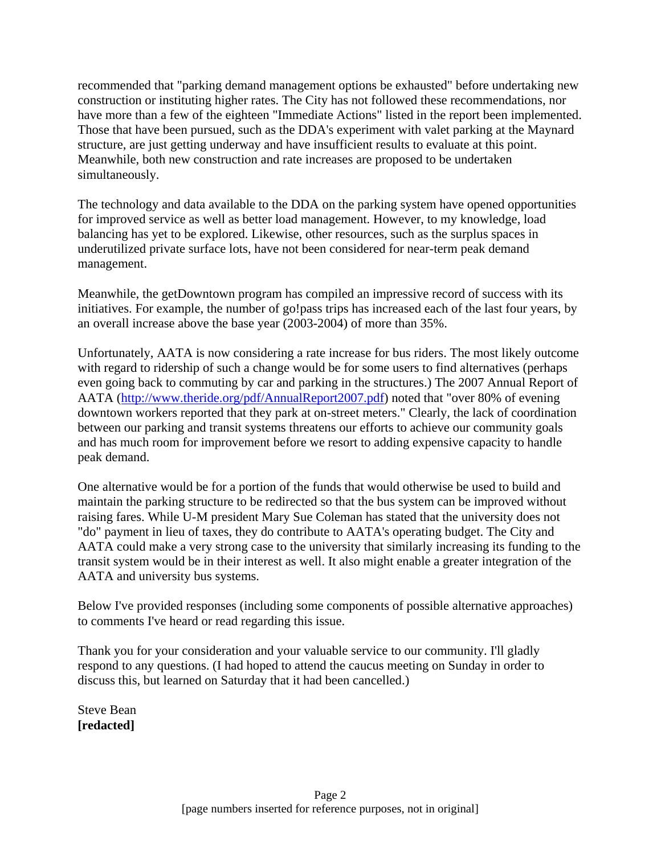recommended that "parking demand management options be exhausted" before undertaking new construction or instituting higher rates. The City has not followed these recommendations, nor have more than a few of the eighteen "Immediate Actions" listed in the report been implemented. Those that have been pursued, such as the DDA's experiment with valet parking at the Maynard structure, are just getting underway and have insufficient results to evaluate at this point. Meanwhile, both new construction and rate increases are proposed to be undertaken simultaneously.

The technology and data available to the DDA on the parking system have opened opportunities for improved service as well as better load management. However, to my knowledge, load balancing has yet to be explored. Likewise, other resources, such as the surplus spaces in underutilized private surface lots, have not been considered for near-term peak demand management.

Meanwhile, the getDowntown program has compiled an impressive record of success with its initiatives. For example, the number of go!pass trips has increased each of the last four years, by an overall increase above the base year (2003-2004) of more than 35%.

Unfortunately, AATA is now considering a rate increase for bus riders. The most likely outcome with regard to ridership of such a change would be for some users to find alternatives (perhaps even going back to commuting by car and parking in the structures.) The 2007 Annual Report of AATA (http://www.theride.org/pdf/AnnualReport2007.pdf) noted that "over 80% of evening downtown workers reported that they park at on-street meters." Clearly, the lack of coordination between our parking and transit systems threatens our efforts to achieve our community goals and has much room for improvement before we resort to adding expensive capacity to handle peak demand.

One alternative would be for a portion of the funds that would otherwise be used to build and maintain the parking structure to be redirected so that the bus system can be improved without raising fares. While U-M president Mary Sue Coleman has stated that the university does not "do" payment in lieu of taxes, they do contribute to AATA's operating budget. The City and AATA could make a very strong case to the university that similarly increasing its funding to the transit system would be in their interest as well. It also might enable a greater integration of the AATA and university bus systems.

Below I've provided responses (including some components of possible alternative approaches) to comments I've heard or read regarding this issue.

Thank you for your consideration and your valuable service to our community. I'll gladly respond to any questions. (I had hoped to attend the caucus meeting on Sunday in order to discuss this, but learned on Saturday that it had been cancelled.)

Steve Bean **[redacted]**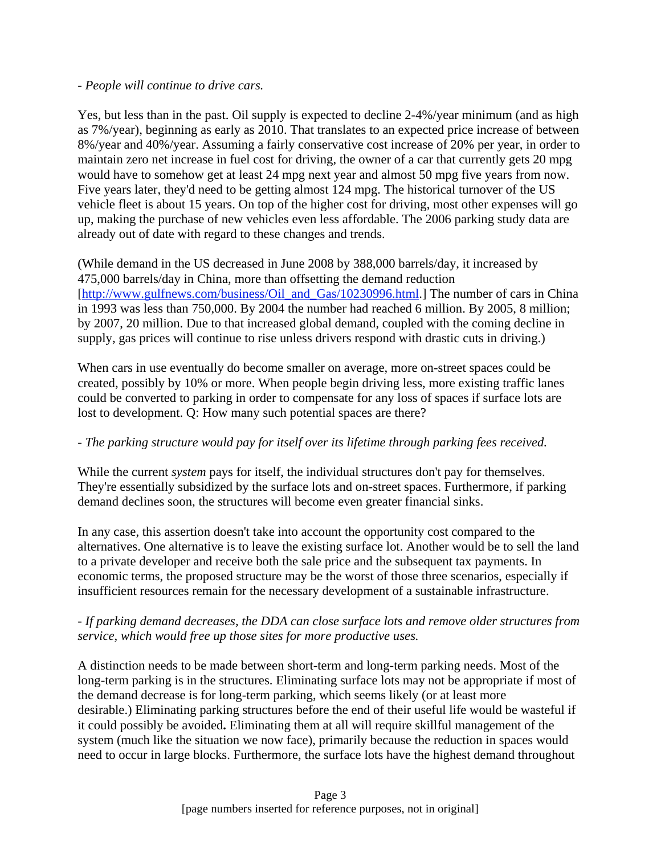### *- People will continue to drive cars.*

Yes, but less than in the past. Oil supply is expected to decline 2-4%/year minimum (and as high as 7%/year), beginning as early as 2010. That translates to an expected price increase of between 8%/year and 40%/year. Assuming a fairly conservative cost increase of 20% per year, in order to maintain zero net increase in fuel cost for driving, the owner of a car that currently gets 20 mpg would have to somehow get at least 24 mpg next year and almost 50 mpg five years from now. Five years later, they'd need to be getting almost 124 mpg. The historical turnover of the US vehicle fleet is about 15 years. On top of the higher cost for driving, most other expenses will go up, making the purchase of new vehicles even less affordable. The 2006 parking study data are already out of date with regard to these changes and trends.

(While demand in the US decreased in June 2008 by 388,000 barrels/day, it increased by 475,000 barrels/day in China, more than offsetting the demand reduction [http://www.gulfnews.com/business/Oil\_and\_Gas/10230996.html.] The number of cars in China in 1993 was less than 750,000. By 2004 the number had reached 6 million. By 2005, 8 million; by 2007, 20 million. Due to that increased global demand, coupled with the coming decline in supply, gas prices will continue to rise unless drivers respond with drastic cuts in driving.)

When cars in use eventually do become smaller on average, more on-street spaces could be created, possibly by 10% or more. When people begin driving less, more existing traffic lanes could be converted to parking in order to compensate for any loss of spaces if surface lots are lost to development. Q: How many such potential spaces are there?

### *- The parking structure would pay for itself over its lifetime through parking fees received.*

While the current *system* pays for itself, the individual structures don't pay for themselves. They're essentially subsidized by the surface lots and on-street spaces. Furthermore, if parking demand declines soon, the structures will become even greater financial sinks.

In any case, this assertion doesn't take into account the opportunity cost compared to the alternatives. One alternative is to leave the existing surface lot. Another would be to sell the land to a private developer and receive both the sale price and the subsequent tax payments. In economic terms, the proposed structure may be the worst of those three scenarios, especially if insufficient resources remain for the necessary development of a sustainable infrastructure.

### *- If parking demand decreases, the DDA can close surface lots and remove older structures from service, which would free up those sites for more productive uses.*

A distinction needs to be made between short-term and long-term parking needs. Most of the long-term parking is in the structures. Eliminating surface lots may not be appropriate if most of the demand decrease is for long-term parking, which seems likely (or at least more desirable.) Eliminating parking structures before the end of their useful life would be wasteful if it could possibly be avoided**.** Eliminating them at all will require skillful management of the system (much like the situation we now face), primarily because the reduction in spaces would need to occur in large blocks. Furthermore, the surface lots have the highest demand throughout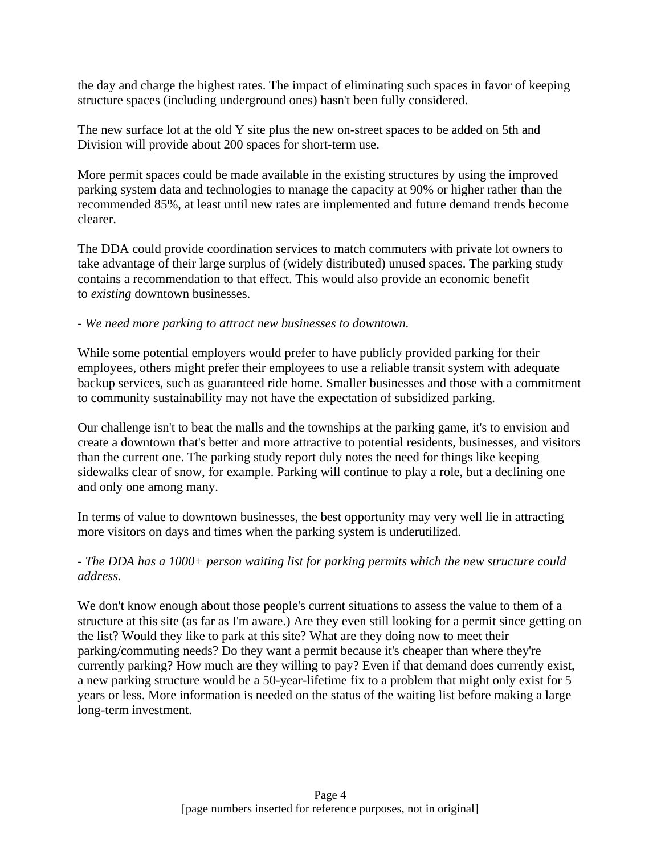the day and charge the highest rates. The impact of eliminating such spaces in favor of keeping structure spaces (including underground ones) hasn't been fully considered.

The new surface lot at the old Y site plus the new on-street spaces to be added on 5th and Division will provide about 200 spaces for short-term use.

More permit spaces could be made available in the existing structures by using the improved parking system data and technologies to manage the capacity at 90% or higher rather than the recommended 85%, at least until new rates are implemented and future demand trends become clearer.

The DDA could provide coordination services to match commuters with private lot owners to take advantage of their large surplus of (widely distributed) unused spaces. The parking study contains a recommendation to that effect. This would also provide an economic benefit to *existing* downtown businesses.

### *- We need more parking to attract new businesses to downtown.*

While some potential employers would prefer to have publicly provided parking for their employees, others might prefer their employees to use a reliable transit system with adequate backup services, such as guaranteed ride home. Smaller businesses and those with a commitment to community sustainability may not have the expectation of subsidized parking.

Our challenge isn't to beat the malls and the townships at the parking game, it's to envision and create a downtown that's better and more attractive to potential residents, businesses, and visitors than the current one. The parking study report duly notes the need for things like keeping sidewalks clear of snow, for example. Parking will continue to play a role, but a declining one and only one among many.

In terms of value to downtown businesses, the best opportunity may very well lie in attracting more visitors on days and times when the parking system is underutilized.

# *- The DDA has a 1000+ person waiting list for parking permits which the new structure could address.*

We don't know enough about those people's current situations to assess the value to them of a structure at this site (as far as I'm aware.) Are they even still looking for a permit since getting on the list? Would they like to park at this site? What are they doing now to meet their parking/commuting needs? Do they want a permit because it's cheaper than where they're currently parking? How much are they willing to pay? Even if that demand does currently exist, a new parking structure would be a 50-year-lifetime fix to a problem that might only exist for 5 years or less. More information is needed on the status of the waiting list before making a large long-term investment.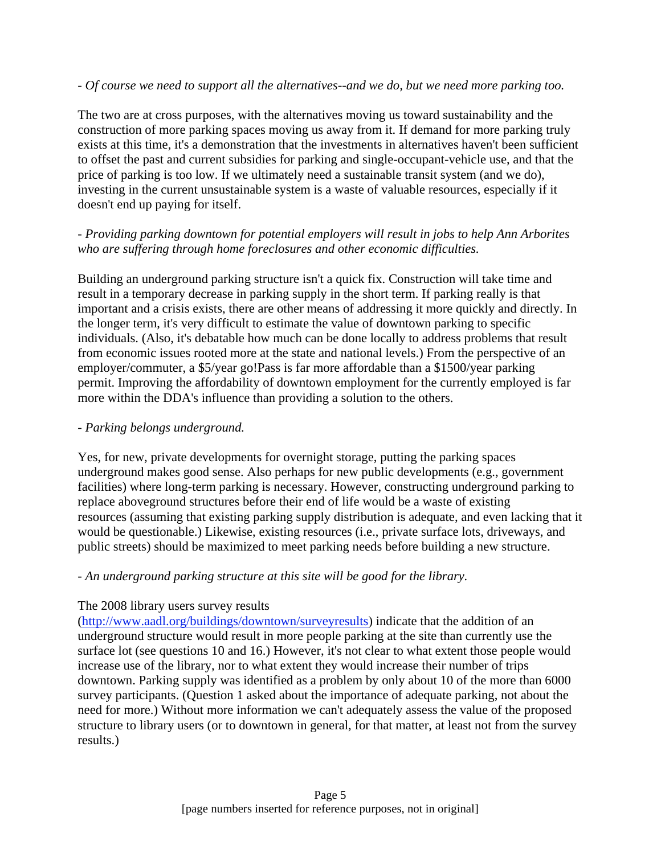### *- Of course we need to support all the alternatives--and we do, but we need more parking too.*

The two are at cross purposes, with the alternatives moving us toward sustainability and the construction of more parking spaces moving us away from it. If demand for more parking truly exists at this time, it's a demonstration that the investments in alternatives haven't been sufficient to offset the past and current subsidies for parking and single-occupant-vehicle use, and that the price of parking is too low. If we ultimately need a sustainable transit system (and we do), investing in the current unsustainable system is a waste of valuable resources, especially if it doesn't end up paying for itself.

# *- Providing parking downtown for potential employers will result in jobs to help Ann Arborites who are suffering through home foreclosures and other economic difficulties.*

Building an underground parking structure isn't a quick fix. Construction will take time and result in a temporary decrease in parking supply in the short term. If parking really is that important and a crisis exists, there are other means of addressing it more quickly and directly. In the longer term, it's very difficult to estimate the value of downtown parking to specific individuals. (Also, it's debatable how much can be done locally to address problems that result from economic issues rooted more at the state and national levels.) From the perspective of an employer/commuter, a \$5/year go!Pass is far more affordable than a \$1500/year parking permit. Improving the affordability of downtown employment for the currently employed is far more within the DDA's influence than providing a solution to the others.

# *- Parking belongs underground.*

Yes, for new, private developments for overnight storage, putting the parking spaces underground makes good sense. Also perhaps for new public developments (e.g., government facilities) where long-term parking is necessary. However, constructing underground parking to replace aboveground structures before their end of life would be a waste of existing resources (assuming that existing parking supply distribution is adequate, and even lacking that it would be questionable.) Likewise, existing resources (i.e., private surface lots, driveways, and public streets) should be maximized to meet parking needs before building a new structure.

# *- An underground parking structure at this site will be good for the library.*

# The 2008 library users survey results

(http://www.aadl.org/buildings/downtown/surveyresults) indicate that the addition of an underground structure would result in more people parking at the site than currently use the surface lot (see questions 10 and 16.) However, it's not clear to what extent those people would increase use of the library, nor to what extent they would increase their number of trips downtown. Parking supply was identified as a problem by only about 10 of the more than 6000 survey participants. (Question 1 asked about the importance of adequate parking, not about the need for more.) Without more information we can't adequately assess the value of the proposed structure to library users (or to downtown in general, for that matter, at least not from the survey results.)